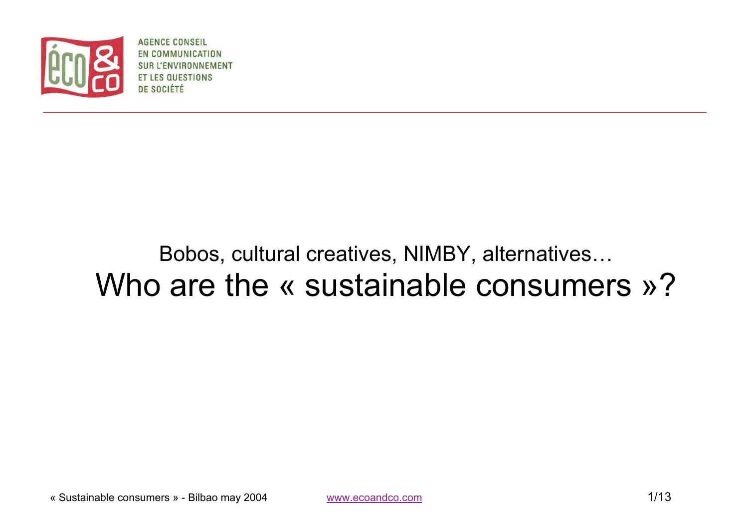

**AGENCE CONSEIL** EN COMMUNICATION ENVIRONNEMENT **ESTIONS** DE SOCIÉTÉ

# Bobos, cultural creatives, NIMBY, alternatives… Who are the « sustainable consumers »?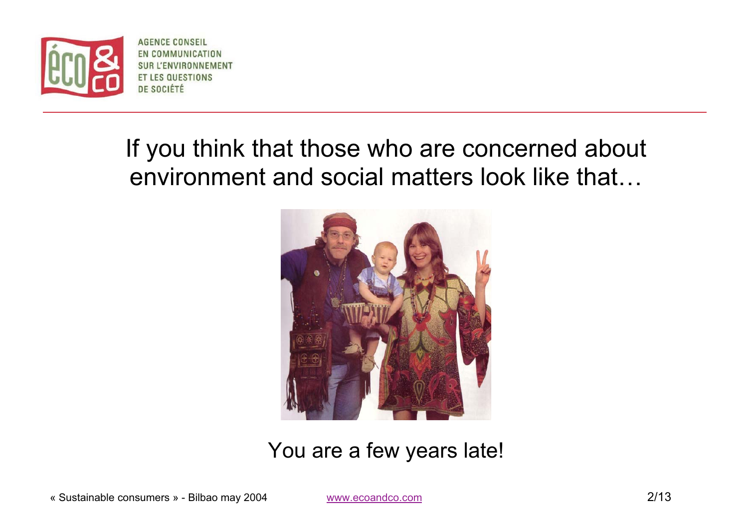

**AGENCE CONSEIL** EN COMMUNICATION **SUR L'ENVIRONNEMENT ET LES QUESTIONS** DE SOCIÉTÉ

# If you think that those who are concerned about environment and social matters look like that…



You are a few years late!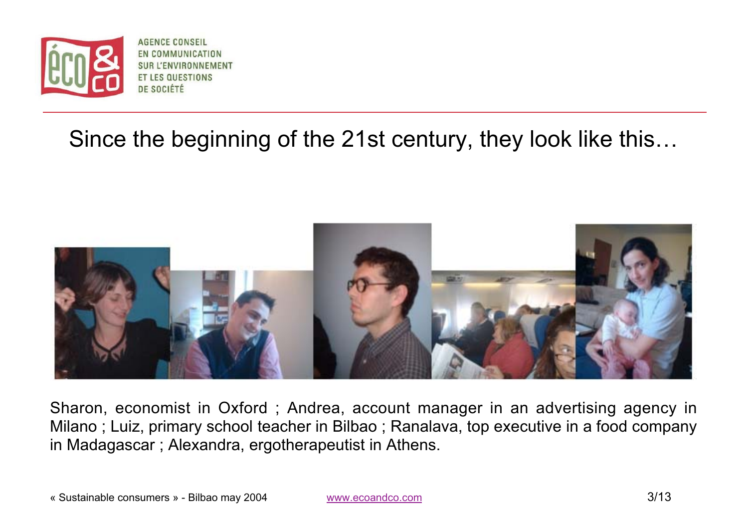

**AGENCE CONSEIL** EN COMMUNICATION **SUR L'ENVIRONNEMENT TLES QUESTIONS** DE SOCIÉTÉ

### Since the beginning of the 21st century, they look like this…



Sharon, economist in Oxford ; Andrea, account manager in an advertising agency in Milano ; Luiz, primary school teacher in Bilbao ; Ranalava, top executive in <sup>a</sup> food company in Madagascar ; Alexandra, ergotherapeutist in Athens.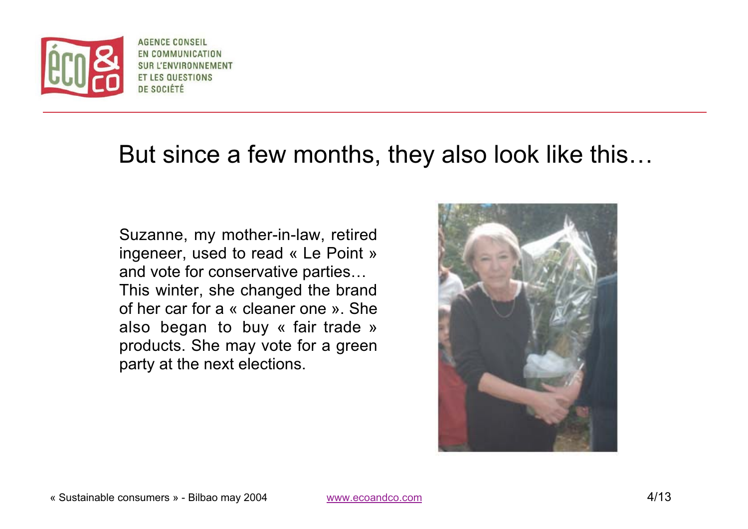

**AGENCE CONSEIL** EN COMMUNICATION **SUR L'ENVIRONNEMENT ET LES QUESTIONS** DE SOCIÉTÉ

## But since a few months, they also look like this…

Suzanne, my mother-in-law, retired ingeneer, used to read « Le Point » and vote for conservative parties… This winter, she changed the brand of her car for a « cleaner one ». Shealso began to buy « fair trade » products. She may vote for <sup>a</sup> green party at the next elections.

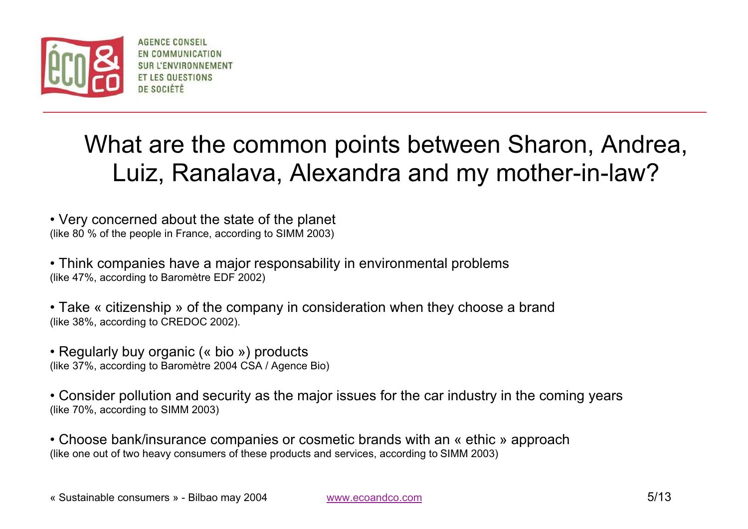

**AGENCE CONSEIL** EN COMMUNICATION **ET LES QUESTIONS** DE SOCIÉTÉ

# What are the common points between Sharon, Andrea, Luiz, Ranalava, Alexandra and my mother-in-law?

• Very concerned about the state of the planet (like 80 % of the people in France, according to SIMM 2003)

• Think companies have a major responsability in environmental problems (like 47%, according to Baromètre EDF 2002)

• Take « citizenship » of the company in consideration when they choose a brand (like 38%, according to CREDOC 2002).

• Regularly buy organic (« bio ») products (like 37%, according to Baromètre 2004 CSA / Agence Bio)

• Consider pollution and security as the major issues for the car industry in the coming years (like 70%, according to SIMM 2003)

• Choose bank/insurance companies or cosmetic brands with an « ethic » approach (like one out of two heavy consumers of these products and services, according to SIMM 2003)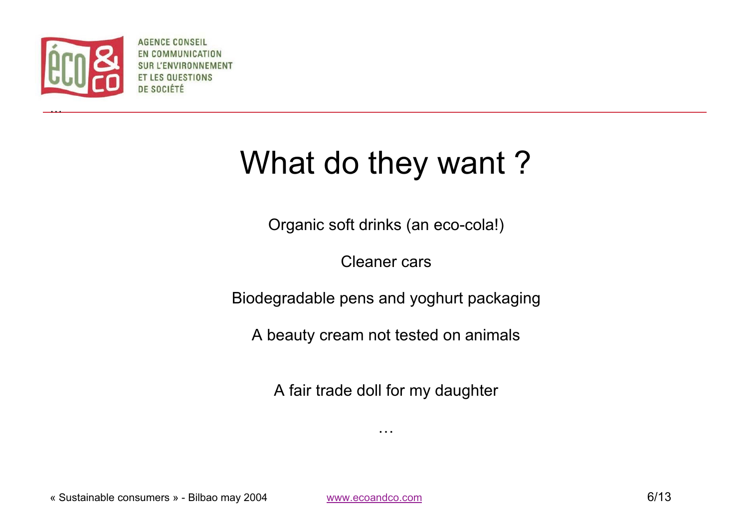

…

**AGENCE CONSEIL** EN COMMUNICATION **SURL ENVIRONNEMENT** ESTIONS DE SOCIÉTÉ

# What do they want?

Organic soft drinks (an eco-cola!)

Cleaner cars

Biodegradable pens and yoghurt packaging

A beauty cream not tested on animals

A fair trade doll for my daughter

…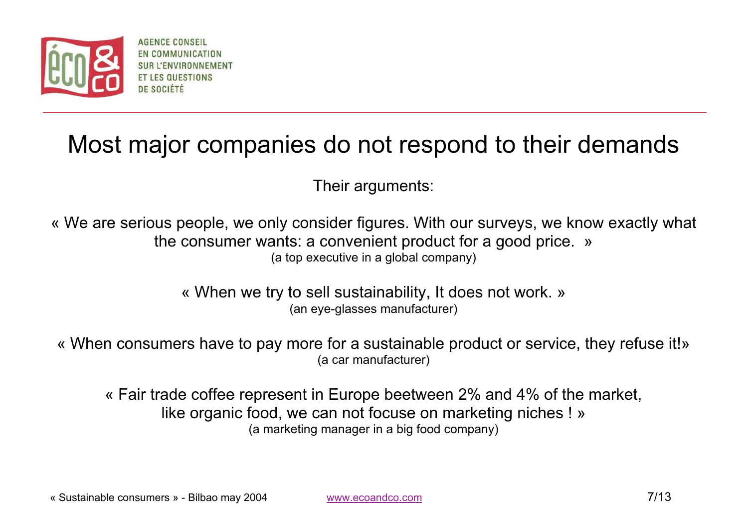

**AGENCE CONSELL** EN COMMUNICATION **JE SOCIÉTI** 

## Most major companies do not respond to their demands

Their arguments:

« We are serious people, we only consider figures. With our surveys, we know exactly what the consumer wants: a convenient product for a good price. » (a top executive in a global company)

> « When we try to sell sustainability, It does not work. » (an eye-glasses manufacturer)

« When consumers have to pay more for a sustainable product or service, they refuse it!» (a car manufacturer)

« Fair trade coffee represent in Europe beetween 2% and 4% of the market, like organic food, we can not focuse on marketing niches ! » (a marketing manager in a big food company)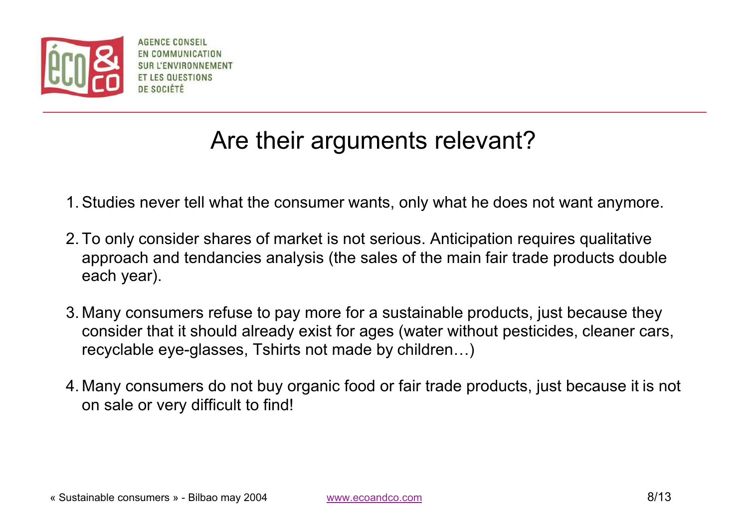

AGENCE CONSEIL EN COMMUNICATION **JE SOCIÉTÉ** 

# Are their arguments relevant?

- 1. Studies never tell what the consumer wants, only what he does not want anymore.
- 2. To only consider shares of market is not serious. Anticipation requires qualitative approach and tendancies analysis (the sales of the main fair trade products double each year).
- 3. Many consumers refuse to pay more for a sustainable products, just because they consider that it should already exist for ages (water without pesticides, cleaner cars, recyclable eye-glasses, Tshirts not made by children…)
- 4. Many consumers do not buy organic food or fair trade products, just because it is not on sale or very difficult to find!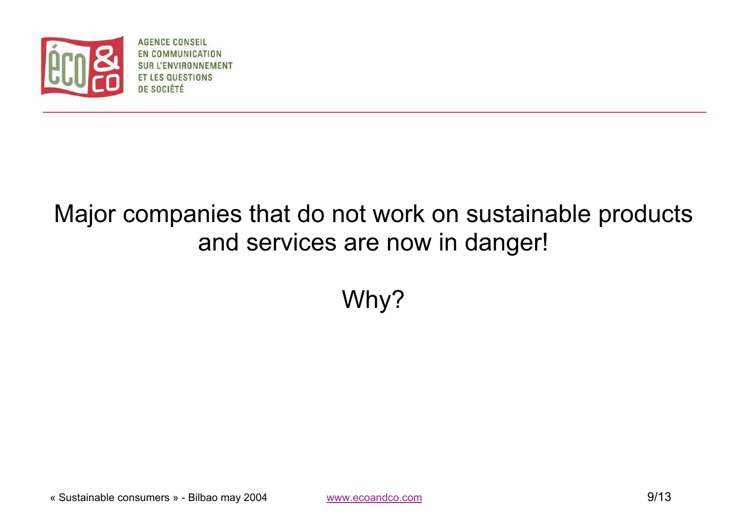

**AGENCE CONSEIL** EN COMMUNICATION 'ENVIRONNEMENT **QUESTIONS** DE SOCIÉTÉ

# Major companies that do not work on sustainable products and services are now in danger!

Why?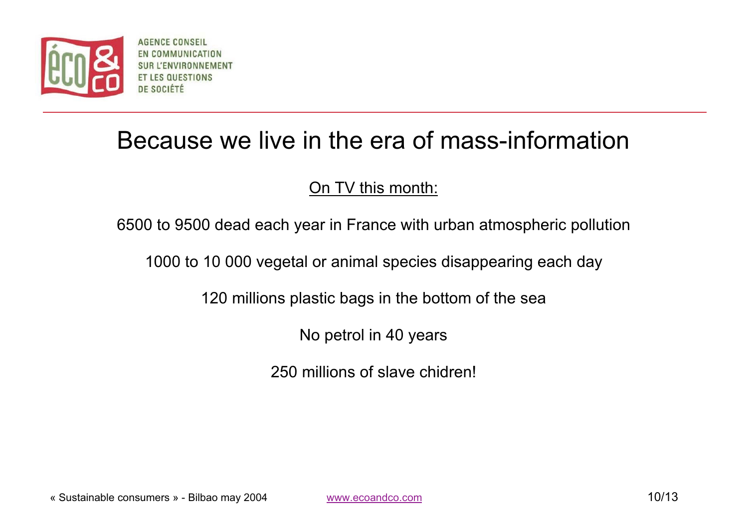

**AGENCE CONSEIL** EN COMMUNICATION DE SOCIÉTÉ

## Because we live in the era of mass-information

#### On TV this month:

6500 to 9500 dead each year in France with urban atmospheric pollution

1000 to 10 000 vegetal or animal species disappearing each day

120 millions plastic bags in the bottom of the sea

No petrol in 40 years

250 millions of slave chidren!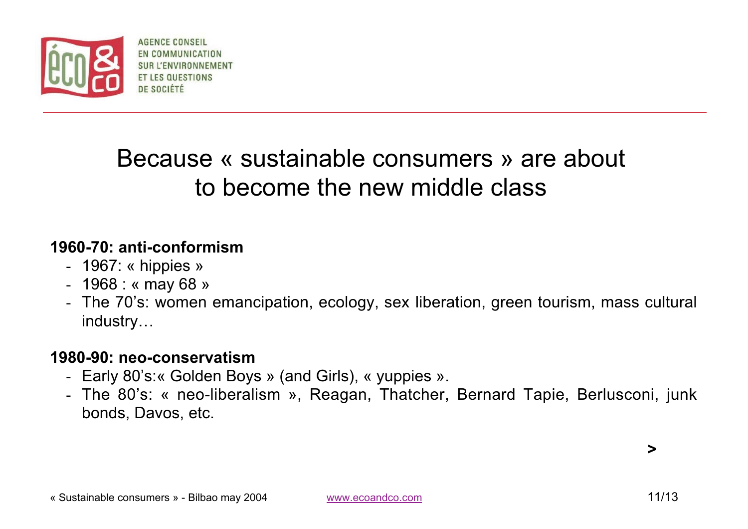

AGENCE CONSEL EN COMMUNICATION DE SOCIÉTÉ

# Because « sustainable consumers » are about to become the new middle class

#### **1960-70: anti-conformism**

- 1967: « hippies »
- 1968 : « may 68 »
- The 70's: women emancipation, ecology, sex liberation, green tourism, mass cultural industry…

#### **1980-90: neo-conservatism**

- Early 80's:« Golden Boys » (and Girls), « yuppies ».
- The 80's: « neo-liberalism », Reagan, Thatcher, Bernard Tapie, Berlusconi, junk bonds, Davos, etc.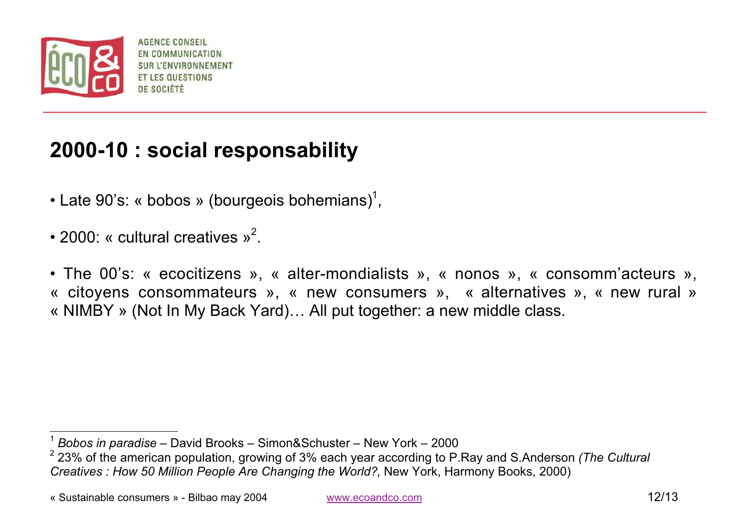

AGENCE CONSEIL EN COMMUNICATION **JE SOCIÉTI** 

#### **2000-10 : social responsability**

- Late 90's: « bobos » (bourgeois bohemians)<sup>1</sup>,
- 2000: « cultural creatives  $v^2$ .
- The 00's: « ecocitizens », « alter-mondialists », « nonos », « consomm'acteurs », « citoyens consommateurs », « new consumers », « alternatives », « new rural » « NIMBY » (Not In My Back Yard)… All put together: a new middle class.

« Sustainable consumers » - Bilbao may 2004 www.ecoandco.com 12/13

<sup>1</sup>*Bobos in paradise* – David Brooks – Simon&Schuster – New York – 2000

<sup>2 23%</sup> of the american population, growing of 3% each year according to P.Ray and S.Anderson *(The Cultural Creatives : How 50 Million People Are Changing the World?*, New York, Harmony Books, 2000)